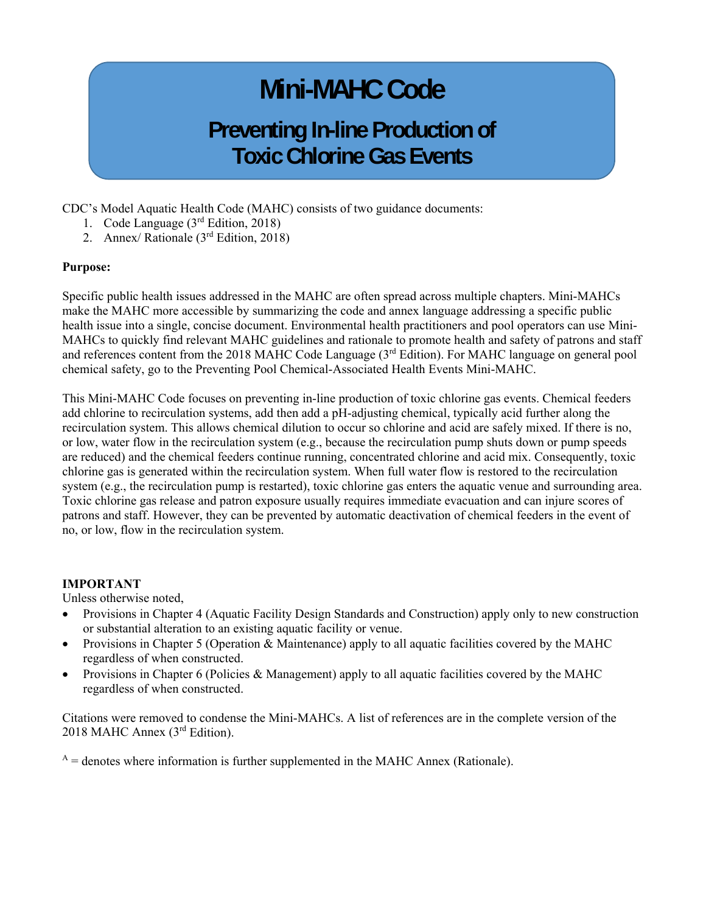# **Mini-MAHC Code**

# **Preventing In-line Production of Toxic Chlorine Gas Events**

CDC's Model Aquatic Health Code (MAHC) consists of two guidance documents:

- 1. Code Language (3rd Edition, 2018)
- 2. Annex/ Rationale  $(3<sup>rd</sup> Edition, 2018)$

#### **Purpose:**

Specific public health issues addressed in the MAHC are often spread across multiple chapters. Mini-MAHCs make the MAHC more accessible by summarizing the code and annex language addressing a specific public health issue into a single, concise document. Environmental health practitioners and pool operators can use Mini-MAHCs to quickly find relevant MAHC guidelines and rationale to promote health and safety of patrons and staff and references content from the 2018 MAHC Code Language (3<sup>rd</sup> Edition). For MAHC language on general pool chemical safety, go to the Preventing Pool Chemical-Associated Health Events Mini-MAHC.

This Mini-MAHC Code focuses on preventing in-line production of toxic chlorine gas events. Chemical feeders add chlorine to recirculation systems, add then add a pH-adjusting chemical, typically acid further along the recirculation system. This allows chemical dilution to occur so chlorine and acid are safely mixed. If there is no, or low, water flow in the recirculation system (e.g., because the recirculation pump shuts down or pump speeds are reduced) and the chemical feeders continue running, concentrated chlorine and acid mix. Consequently, toxic chlorine gas is generated within the recirculation system. When full water flow is restored to the recirculation system (e.g., the recirculation pump is restarted), toxic chlorine gas enters the aquatic venue and surrounding area. Toxic chlorine gas release and patron exposure usually requires immediate evacuation and can injure scores of patrons and staff. However, they can be prevented by automatic deactivation of chemical feeders in the event of no, or low, flow in the recirculation system.

#### **IMPORTANT**

Unless otherwise noted,

- Provisions in Chapter 4 (Aquatic Facility Design Standards and Construction) apply only to new construction or substantial alteration to an existing aquatic facility or venue.
- Provisions in Chapter 5 (Operation & Maintenance) apply to all aquatic facilities covered by the MAHC regardless of when constructed.
- Provisions in Chapter 6 (Policies & Management) apply to all aquatic facilities covered by the MAHC regardless of when constructed.

Citations were removed to condense the Mini-MAHCs. A list of references are in the complete version of the 2018 MAHC Annex (3rd Edition).

 $A =$  denotes where information is further supplemented in the MAHC Annex (Rationale).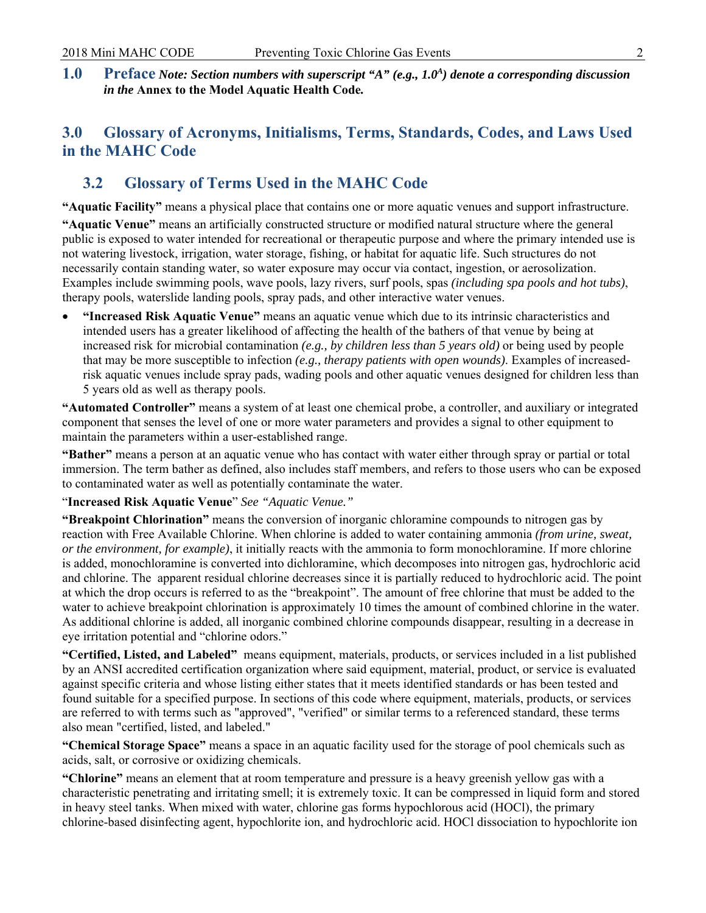**1.0 Preface** Note: Section numbers with superscript "A" (e.g., 1.0<sup>A</sup>) denote a corresponding discussion *in the* **Annex to the Model Aquatic Health Code***.* 

# **3.0 Glossary of Acronyms, Initialisms, Terms, Standards, Codes, and Laws Used in the MAHC Code**

# **3.2 Glossary of Terms Used in the MAHC Code**

**"Aquatic Facility"** means a physical place that contains one or more aquatic venues and support infrastructure. **"Aquatic Venue"** means an artificially constructed structure or modified natural structure where the general public is exposed to water intended for recreational or therapeutic purpose and where the primary intended use is not watering livestock, irrigation, water storage, fishing, or habitat for aquatic life. Such structures do not necessarily contain standing water, so water exposure may occur via contact, ingestion, or aerosolization. Examples include swimming pools, wave pools, lazy rivers, surf pools, spas *(including spa pools and hot tubs)*, therapy pools, waterslide landing pools, spray pads, and other interactive water venues.

 increased risk for microbial contamination *(e.g., by children less than 5 years old)* or being used by people **"Increased Risk Aquatic Venue"** means an aquatic venue which due to its intrinsic characteristics and intended users has a greater likelihood of affecting the health of the bathers of that venue by being at that may be more susceptible to infection *(e.g., therapy patients with open wounds)*. Examples of increasedrisk aquatic venues include spray pads, wading pools and other aquatic venues designed for children less than 5 years old as well as therapy pools.

**"Automated Controller"** means a system of at least one chemical probe, a controller, and auxiliary or integrated component that senses the level of one or more water parameters and provides a signal to other equipment to maintain the parameters within a user-established range.

**"Bather"** means a person at an aquatic venue who has contact with water either through spray or partial or total immersion. The term bather as defined, also includes staff members, and refers to those users who can be exposed to contaminated water as well as potentially contaminate the water.

"**Increased Risk Aquatic Venue**" *See "Aquatic Venue."* 

**"Breakpoint Chlorination"** means the conversion of inorganic chloramine compounds to nitrogen gas by reaction with Free Available Chlorine. When chlorine is added to water containing ammonia *(from urine, sweat, or the environment, for example)*, it initially reacts with the ammonia to form monochloramine. If more chlorine is added, monochloramine is converted into dichloramine, which decomposes into nitrogen gas, hydrochloric acid and chlorine. The apparent residual chlorine decreases since it is partially reduced to hydrochloric acid. The point at which the drop occurs is referred to as the "breakpoint". The amount of free chlorine that must be added to the water to achieve breakpoint chlorination is approximately 10 times the amount of combined chlorine in the water. As additional chlorine is added, all inorganic combined chlorine compounds disappear, resulting in a decrease in eye irritation potential and "chlorine odors."

**"Certified, Listed, and Labeled"** means equipment, materials, products, or services included in a list published by an ANSI accredited certification organization where said equipment, material, product, or service is evaluated against specific criteria and whose listing either states that it meets identified standards or has been tested and found suitable for a specified purpose. In sections of this code where equipment, materials, products, or services are referred to with terms such as "approved", "verified" or similar terms to a referenced standard, these terms also mean "certified, listed, and labeled."

**"Chemical Storage Space"** means a space in an aquatic facility used for the storage of pool chemicals such as acids, salt, or corrosive or oxidizing chemicals.

**"Chlorine"** means an element that at room temperature and pressure is a heavy greenish yellow gas with a characteristic penetrating and irritating smell; it is extremely toxic. It can be compressed in liquid form and stored in heavy steel tanks. When mixed with water, chlorine gas forms hypochlorous acid (HOCl), the primary chlorine-based disinfecting agent, hypochlorite ion, and hydrochloric acid. HOCl dissociation to hypochlorite ion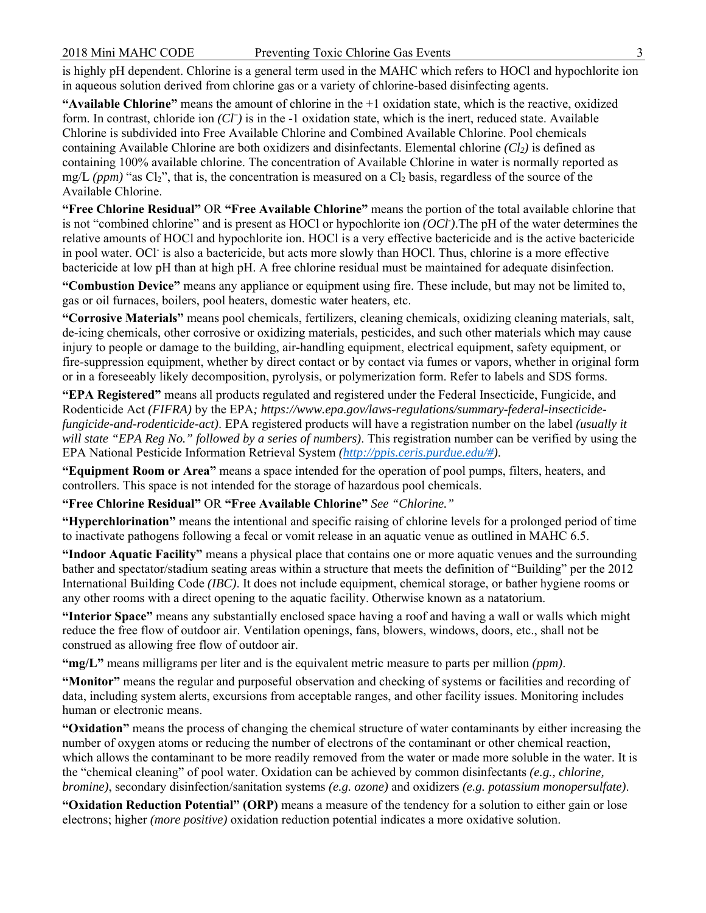in aqueous solution derived from chlorine gas or a variety of chlorine-based disinfecting agents. is highly pH dependent. Chlorine is a general term used in the MAHC which refers to HOCl and hypochlorite ion

 Chlorine is subdivided into Free Available Chlorine and Combined Available Chlorine. Pool chemicals **"Available Chlorine"** means the amount of chlorine in the +1 oxidation state, which is the reactive, oxidized form. In contrast, chloride ion *(Cl– )* is in the -1 oxidation state, which is the inert, reduced state. Available containing Available Chlorine are both oxidizers and disinfectants. Elemental chlorine *(Cl2)* is defined as containing 100% available chlorine. The concentration of Available Chlorine in water is normally reported as mg/L  $(ppm)$  "as Cl<sub>2</sub>", that is, the concentration is measured on a Cl<sub>2</sub> basis, regardless of the source of the Available Chlorine.

**"Free Chlorine Residual"** OR **"Free Available Chlorine"** means the portion of the total available chlorine that is not "combined chlorine" and is present as HOCl or hypochlorite ion *(OCl- )*.The pH of the water determines the relative amounts of HOCl and hypochlorite ion. HOCl is a very effective bactericide and is the active bactericide in pool water. OCl- is also a bactericide, but acts more slowly than HOCl. Thus, chlorine is a more effective bactericide at low pH than at high pH. A free chlorine residual must be maintained for adequate disinfection.

 **"Combustion Device"** means any appliance or equipment using fire. These include, but may not be limited to, gas or oil furnaces, boilers, pool heaters, domestic water heaters, etc.

**"Corrosive Materials"** means pool chemicals, fertilizers, cleaning chemicals, oxidizing cleaning materials, salt, de-icing chemicals, other corrosive or oxidizing materials, pesticides, and such other materials which may cause injury to people or damage to the building, air-handling equipment, electrical equipment, safety equipment, or fire-suppression equipment, whether by direct contact or by contact via fumes or vapors, whether in original form or in a foreseeably likely decomposition, pyrolysis, or polymerization form. Refer to labels and SDS forms.

**"EPA Registered"** means all products regulated and registered under the Federal Insecticide, Fungicide, and Rodenticide Act *(FIFRA)* by the EPA*; https://www.epa.gov/laws-regulations/summary-federal-insecticidefungicide-and-rodenticide-act)*. EPA registered products will have a registration number on the label *(usually it will state "EPA Reg No." followed by a series of numbers)*. This registration number can be verified by using the EPA National Pesticide Information Retrieval System *(http://ppis.ceris.purdue.edu/#)*.

**"Equipment Room or Area"** means a space intended for the operation of pool pumps, filters, heaters, and controllers. This space is not intended for the storage of hazardous pool chemicals.

**"Free Chlorine Residual"** OR **"Free Available Chlorine"** *See "Chlorine."* 

**"Hyperchlorination"** means the intentional and specific raising of chlorine levels for a prolonged period of time to inactivate pathogens following a fecal or vomit release in an aquatic venue as outlined in MAHC 6.5.

**"Indoor Aquatic Facility"** means a physical place that contains one or more aquatic venues and the surrounding bather and spectator/stadium seating areas within a structure that meets the definition of "Building" per the 2012 International Building Code *(IBC)*. It does not include equipment, chemical storage, or bather hygiene rooms or any other rooms with a direct opening to the aquatic facility. Otherwise known as a natatorium.

**"Interior Space"** means any substantially enclosed space having a roof and having a wall or walls which might reduce the free flow of outdoor air. Ventilation openings, fans, blowers, windows, doors, etc., shall not be construed as allowing free flow of outdoor air.

**"mg/L"** means milligrams per liter and is the equivalent metric measure to parts per million *(ppm)*.

**"Monitor"** means the regular and purposeful observation and checking of systems or facilities and recording of data, including system alerts, excursions from acceptable ranges, and other facility issues. Monitoring includes human or electronic means.

**"Oxidation"** means the process of changing the chemical structure of water contaminants by either increasing the number of oxygen atoms or reducing the number of electrons of the contaminant or other chemical reaction, which allows the contaminant to be more readily removed from the water or made more soluble in the water. It is the "chemical cleaning" of pool water. Oxidation can be achieved by common disinfectants *(e.g., chlorine, bromine)*, secondary disinfection/sanitation systems *(e.g. ozone)* and oxidizers *(e.g. potassium monopersulfate)*.

**"Oxidation Reduction Potential" (ORP)** means a measure of the tendency for a solution to either gain or lose electrons; higher *(more positive)* oxidation reduction potential indicates a more oxidative solution.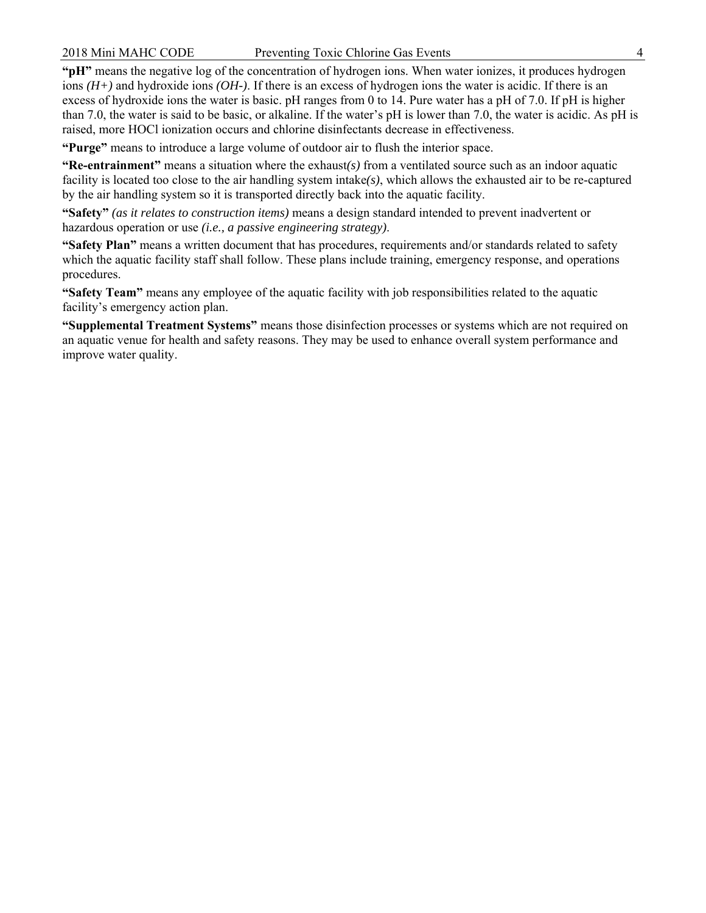**"pH"** means the negative log of the concentration of hydrogen ions. When water ionizes, it produces hydrogen ions *(H+)* and hydroxide ions *(OH-)*. If there is an excess of hydrogen ions the water is acidic. If there is an excess of hydroxide ions the water is basic. pH ranges from 0 to 14. Pure water has a pH of 7.0. If pH is higher than 7.0, the water is said to be basic, or alkaline. If the water's pH is lower than 7.0, the water is acidic. As pH is raised, more HOCl ionization occurs and chlorine disinfectants decrease in effectiveness.

**"Purge"** means to introduce a large volume of outdoor air to flush the interior space.

**"Re-entrainment"** means a situation where the exhaust $(s)$  from a ventilated source such as an indoor aquatic facility is located too close to the air handling system intake*(s)*, which allows the exhausted air to be re-captured by the air handling system so it is transported directly back into the aquatic facility.

**"Safety"** *(as it relates to construction items)* means a design standard intended to prevent inadvertent or hazardous operation or use *(i.e., a passive engineering strategy)*.

**"Safety Plan"** means a written document that has procedures, requirements and/or standards related to safety which the aquatic facility staff shall follow. These plans include training, emergency response, and operations procedures.

**"Safety Team"** means any employee of the aquatic facility with job responsibilities related to the aquatic facility's emergency action plan.

 an aquatic venue for health and safety reasons. They may be used to enhance overall system performance and **"Supplemental Treatment Systems"** means those disinfection processes or systems which are not required on improve water quality.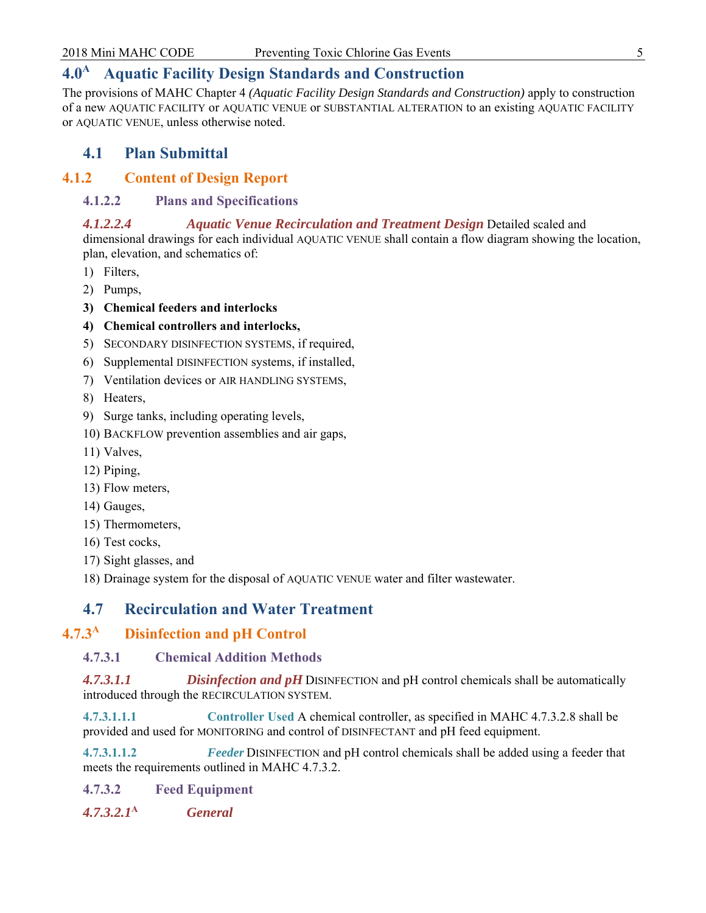# **4.0A Aquatic Facility Design Standards and Construction**

The provisions of MAHC Chapter 4 *(Aquatic Facility Design Standards and Construction)* apply to construction of a new AQUATIC FACILITY or AQUATIC VENUE or SUBSTANTIAL ALTERATION to an existing AQUATIC FACILITY or AQUATIC VENUE, unless otherwise noted.

# **4.1 Plan Submittal**

## **4.1.2 Content of Design Report**

#### **4.1.2.2 Plans and Specifications**

# *4.1.2.2.4 Aquatic Venue Recirculation and Treatment Design* Detailed scaled and

dimensional drawings for each individual AQUATIC VENUE shall contain a flow diagram showing the location, plan, elevation, and schematics of:

- 1) Filters,
- 2) Pumps,
- **3) Chemical feeders and interlocks**
- **4) Chemical controllers and interlocks,**
- 5) SECONDARY DISINFECTION SYSTEMS, if required,
- 6) Supplemental DISINFECTION systems, if installed,
- 7) Ventilation devices or AIR HANDLING SYSTEMS,
- 8) Heaters,
- 9) Surge tanks, including operating levels,
- 10) BACKFLOW prevention assemblies and air gaps,
- 11) Valves,
- 12) Piping,
- 13) Flow meters,
- 14) Gauges,
- 15) Thermometers,
- 16) Test cocks,
- 17) Sight glasses, and
- 18) Drainage system for the disposal of AQUATIC VENUE water and filter wastewater.

# **4.7 Recirculation and Water Treatment**

#### **4.7.3<sup>A</sup> Disinfection and pH Control**

## **4.7.3.1 Chemical Addition Methods**

*4.7.3.1.1 Disinfection and pH* DISINFECTION and pH control chemicals shall be automatically introduced through the RECIRCULATION SYSTEM.

**4.7.3.1.1.1 Controller Used** A chemical controller, as specified in MAHC 4.7.3.2.8 shall be provided and used for MONITORING and control of DISINFECTANT and pH feed equipment.

**4.7.3.1.1.2** *Feeder* DISINFECTION and pH control chemicals shall be added using a feeder that meets the requirements outlined in MAHC 4.7.3.2.

**4.7.3.2 Feed Equipment** 

*4.7.3.2.1***<sup>A</sup>** *General*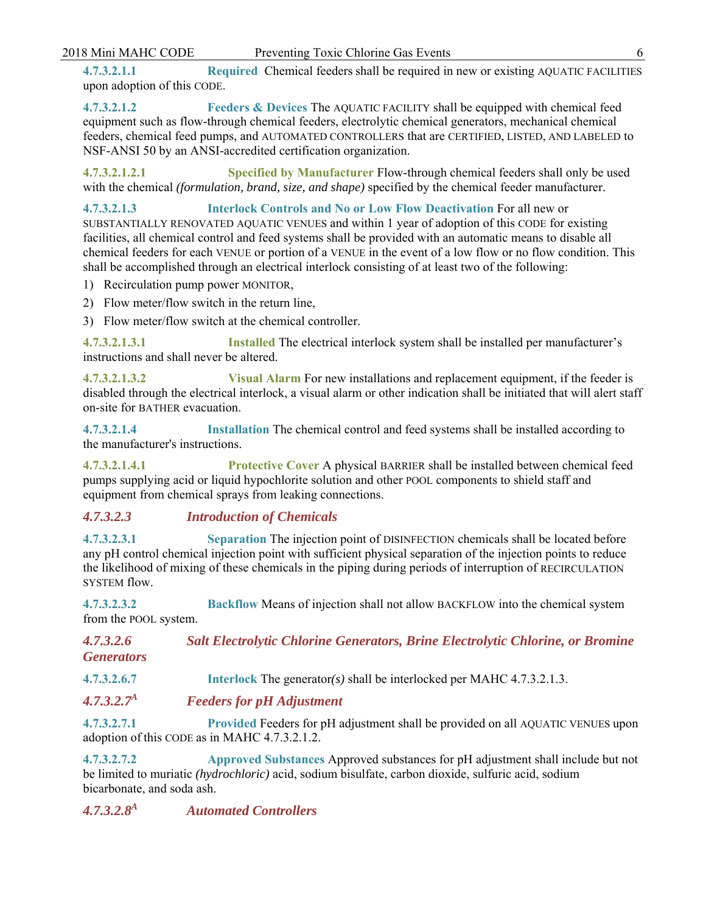**4.7.3.2.1.1 Required** Chemical feeders shall be required in new or existing AQUATIC FACILITIES upon adoption of this CODE.

**4.7.3.2.1.2 Feeders & Devices** The AQUATIC FACILITY shall be equipped with chemical feed equipment such as flow-through chemical feeders, electrolytic chemical generators, mechanical chemical feeders, chemical feed pumps, and AUTOMATED CONTROLLERS that are CERTIFIED, LISTED, AND LABELED to NSF-ANSI 50 by an ANSI-accredited certification organization.

**4.7.3.2.1.2.1 Specified by Manufacturer** Flow-through chemical feeders shall only be used with the chemical *(formulation, brand, size, and shape)* specified by the chemical feeder manufacturer.

**4.7.3.2.1.3 Interlock Controls and No or Low Flow Deactivation** For all new or SUBSTANTIALLY RENOVATED AQUATIC VENUES and within 1 year of adoption of this CODE for existing facilities, all chemical control and feed systems shall be provided with an automatic means to disable all chemical feeders for each VENUE or portion of a VENUE in the event of a low flow or no flow condition. This shall be accomplished through an electrical interlock consisting of at least two of the following:

- 1) Recirculation pump power MONITOR,
- 2) Flow meter/flow switch in the return line,
- 3) Flow meter/flow switch at the chemical controller.

**4.7.3.2.1.3.1 Installed** The electrical interlock system shall be installed per manufacturer's instructions and shall never be altered.

**4.7.3.2.1.3.2 Visual Alarm** For new installations and replacement equipment, if the feeder is disabled through the electrical interlock, a visual alarm or other indication shall be initiated that will alert staff on-site for BATHER evacuation.

**4.7.3.2.1.4 Installation** The chemical control and feed systems shall be installed according to the manufacturer's instructions.

**4.7.3.2.1.4.1 Protective Cover** A physical BARRIER shall be installed between chemical feed pumps supplying acid or liquid hypochlorite solution and other POOL components to shield staff and equipment from chemical sprays from leaking connections.

#### *4.7.3.2.3 Introduction of Chemicals*

**4.7.3.2.3.1 Separation** The injection point of DISINFECTION chemicals shall be located before any pH control chemical injection point with sufficient physical separation of the injection points to reduce the likelihood of mixing of these chemicals in the piping during periods of interruption of RECIRCULATION SYSTEM flow.

**4.7.3.2.3.2 Backflow** Means of injection shall not allow BACKFLOW into the chemical system from the POOL system.

| 4.7.3.2.6         | <b>Salt Electrolytic Chlorine Generators, Brine Electrolytic Chlorine, or Bromine</b> |
|-------------------|---------------------------------------------------------------------------------------|
| <b>Generators</b> |                                                                                       |

**4.7.3.2.6.7 Interlock** The generator*(s)* shall be interlocked per MAHC 4.7.3.2.1.3.

*4.7.3.2.7A Feeders for pH Adjustment* 

**4.7.3.2.7.1 Provided** Feeders for pH adjustment shall be provided on all AQUATIC VENUES upon adoption of this CODE as in MAHC 4.7.3.2.1.2.

**4.7.3.2.7.2 Approved Substances** Approved substances for pH adjustment shall include but not be limited to muriatic *(hydrochloric)* acid, sodium bisulfate, carbon dioxide, sulfuric acid, sodium bicarbonate, and soda ash.

*4.7.3.2.8A Automated Controllers*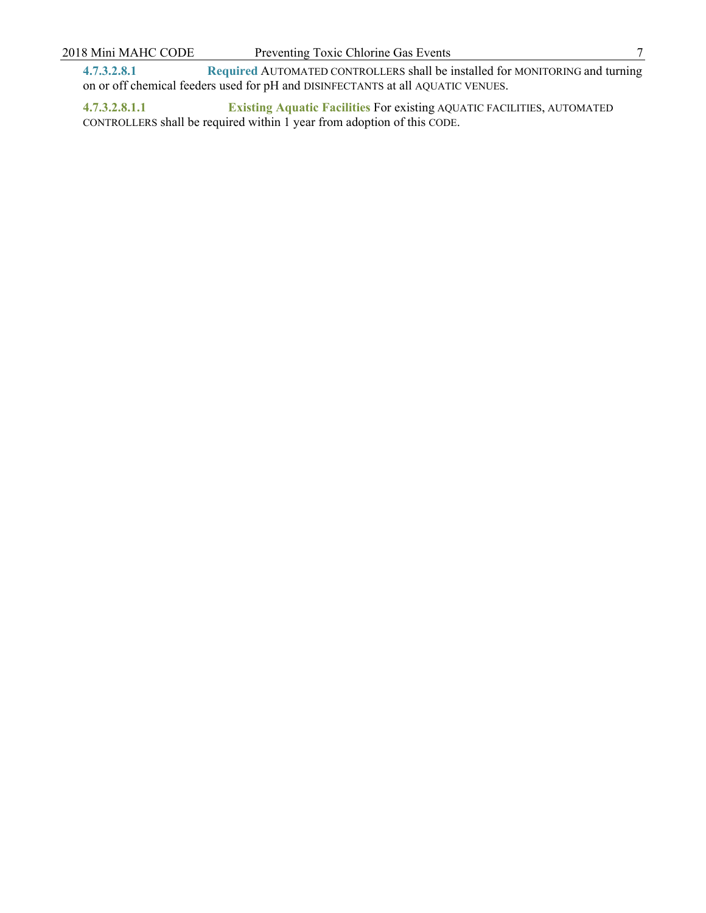**4.7.3.2.8.1 Required** AUTOMATED CONTROLLERS shall be installed for MONITORING and turning on or off chemical feeders used for pH and DISINFECTANTS at all AQUATIC VENUES.

**4.7.3.2.8.1.1 Existing Aquatic Facilities** For existing AQUATIC FACILITIES, AUTOMATED CONTROLLERS shall be required within 1 year from adoption of this CODE.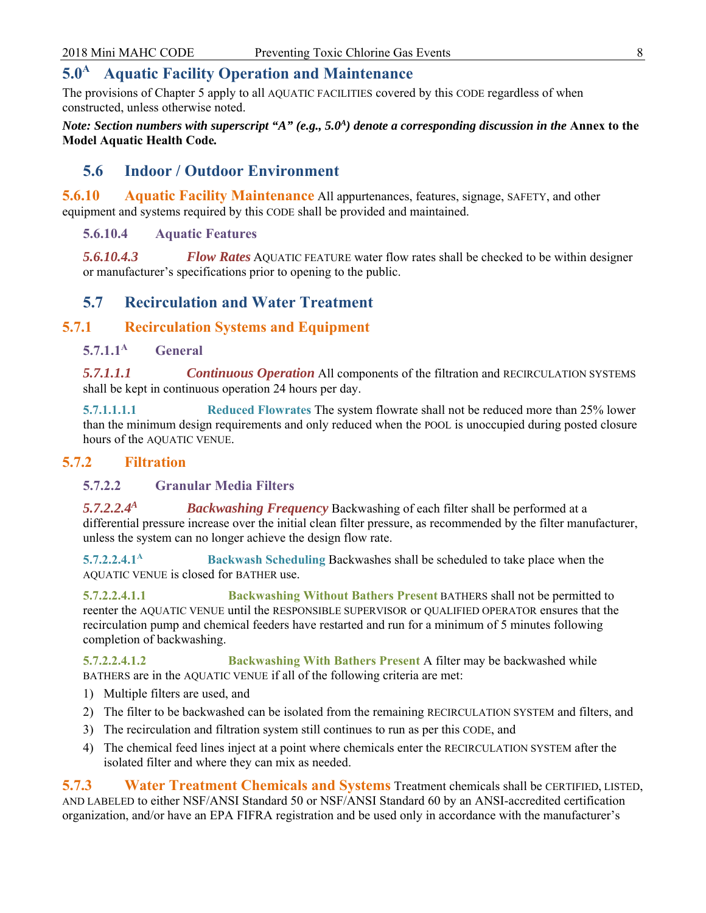# **5.0<sup>A</sup> Aquatic Facility Operation and Maintenance**

The provisions of Chapter 5 apply to all AQUATIC FACILITIES covered by this CODE regardless of when constructed, unless otherwise noted.

*Note: Section numbers with superscript* " $A$ " (*e.g., 5.0*<sup>4</sup>) denote a corresponding discussion in the Annex to the **Model Aquatic Health Code***.* 

# **5.6 Indoor / Outdoor Environment**

**5.6.10 •• Aquatic Facility Maintenance** All appurtenances, features, signage, SAFETY, and other equipment and systems required by this CODE shall be provided and maintained.

#### **5.6.10.4 Aquatic Features**

*5.6.10.4.3 Flow Rates* AQUATIC FEATURE water flow rates shall be checked to be within designer or manufacturer's specifications prior to opening to the public.

# **5.7 Recirculation and Water Treatment**

#### **5.7.1 Recirculation Systems and Equipment**

# **5.7.1.1A General**

*5.7.1.1.1 Continuous Operation* All components of the filtration and RECIRCULATION SYSTEMS shall be kept in continuous operation 24 hours per day.

**5.7.1.1.1.1 Reduced Flowrates** The system flowrate shall not be reduced more than 25% lower than the minimum design requirements and only reduced when the POOL is unoccupied during posted closure hours of the AQUATIC VENUE.

#### **5.7.2 Filtration**

#### **5.7.2.2 Granular Media Filters**

*5.7.2.2.4A Backwashing Frequency* Backwashing of each filter shall be performed at a differential pressure increase over the initial clean filter pressure, as recommended by the filter manufacturer, unless the system can no longer achieve the design flow rate.

**5.7.2.2.4.1A Backwash Scheduling** Backwashes shall be scheduled to take place when the AQUATIC VENUE is closed for BATHER use.

**5.7.2.2.4.1.1 Backwashing Without Bathers Present** BATHERS shall not be permitted to reenter the AQUATIC VENUE until the RESPONSIBLE SUPERVISOR or QUALIFIED OPERATOR ensures that the recirculation pump and chemical feeders have restarted and run for a minimum of 5 minutes following completion of backwashing.

**5.7.2.2.4.1.2 Backwashing With Bathers Present** A filter may be backwashed while BATHERS are in the AQUATIC VENUE if all of the following criteria are met:

- 1) Multiple filters are used, and
- 2) The filter to be backwashed can be isolated from the remaining RECIRCULATION SYSTEM and filters, and
- 3) The recirculation and filtration system still continues to run as per this CODE, and
- 4) The chemical feed lines inject at a point where chemicals enter the RECIRCULATION SYSTEM after the isolated filter and where they can mix as needed.

**5.7.3 Water Treatment Chemicals and Systems** Treatment chemicals shall be CERTIFIED, LISTED, AND LABELED to either NSF/ANSI Standard 50 or NSF/ANSI Standard 60 by an ANSI-accredited certification organization, and/or have an EPA FIFRA registration and be used only in accordance with the manufacturer's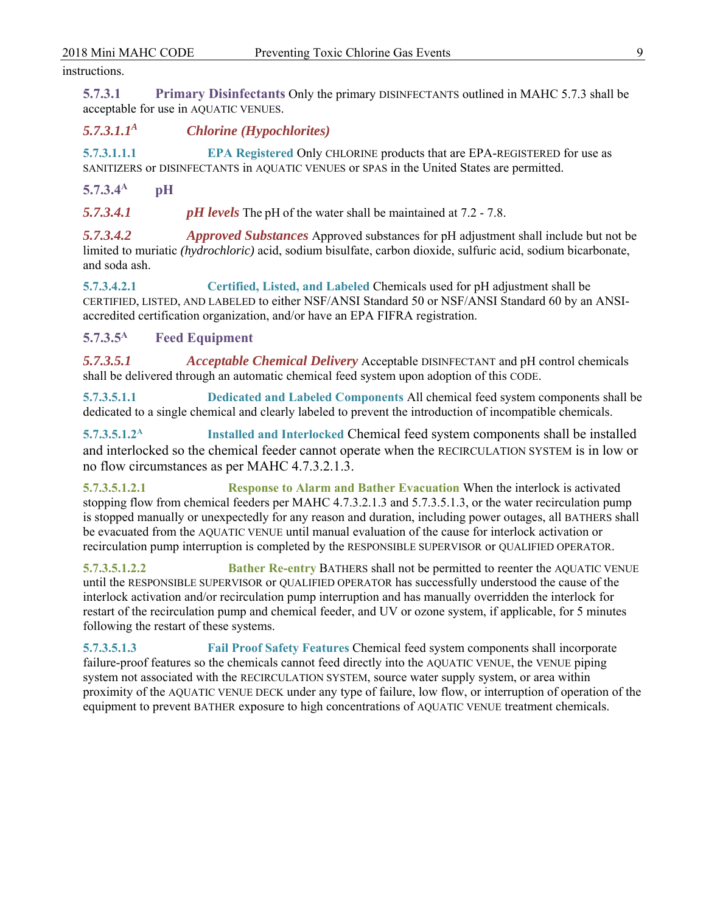#### instructions.

**5.7.3.1 Primary Disinfectants** Only the primary DISINFECTANTS outlined in MAHC 5.7.3 shall be acceptable for use in AQUATIC VENUES.

*5.7.3.1.1A Chlorine (Hypochlorites)* 

**5.7.3.1.1.1 EPA Registered** Only CHLORINE products that are EPA-REGISTERED for use as SANITIZERS or DISINFECTANTS in AQUATIC VENUES or SPAS in the United States are permitted.

**5.7.3.4A pH** 

*5.7.3.4.1 pH levels* The pH of the water shall be maintained at 7.2 - 7.8.

*5.7.3.4.2 Approved Substances* Approved substances for pH adjustment shall include but not be limited to muriatic *(hydrochloric)* acid, sodium bisulfate, carbon dioxide, sulfuric acid, sodium bicarbonate, and soda ash.

**5.7.3.4.2.1 Certified, Listed, and Labeled** Chemicals used for pH adjustment shall be CERTIFIED, LISTED, AND LABELED to either NSF/ANSI Standard 50 or NSF/ANSI Standard 60 by an ANSIaccredited certification organization, and/or have an EPA FIFRA registration.

**5.7.3.5A Feed Equipment** 

*5.7.3.5.1 Acceptable Chemical Delivery* Acceptable DISINFECTANT and pH control chemicals shall be delivered through an automatic chemical feed system upon adoption of this CODE.

**5.7.3.5.1.1 Dedicated and Labeled Components** All chemical feed system components shall be dedicated to a single chemical and clearly labeled to prevent the introduction of incompatible chemicals.

**5.7.3.5.1.2A Installed and Interlocked** Chemical feed system components shall be installed and interlocked so the chemical feeder cannot operate when the RECIRCULATION SYSTEM is in low or no flow circumstances as per MAHC 4.7.3.2.1.3.

**5.7.3.5.1.2.1 Response to Alarm and Bather Evacuation** When the interlock is activated stopping flow from chemical feeders per MAHC 4.7.3.2.1.3 and 5.7.3.5.1.3, or the water recirculation pump is stopped manually or unexpectedly for any reason and duration, including power outages, all BATHERS shall be evacuated from the AQUATIC VENUE until manual evaluation of the cause for interlock activation or recirculation pump interruption is completed by the RESPONSIBLE SUPERVISOR or QUALIFIED OPERATOR.

**5.7.3.5.1.2.2 Bather Re-entry** BATHERS shall not be permitted to reenter the AQUATIC VENUE until the RESPONSIBLE SUPERVISOR or QUALIFIED OPERATOR has successfully understood the cause of the interlock activation and/or recirculation pump interruption and has manually overridden the interlock for restart of the recirculation pump and chemical feeder, and UV or ozone system, if applicable, for 5 minutes following the restart of these systems.

**5.7.3.5.1.3 Fail Proof Safety Features** Chemical feed system components shall incorporate failure-proof features so the chemicals cannot feed directly into the AQUATIC VENUE, the VENUE piping system not associated with the RECIRCULATION SYSTEM, source water supply system, or area within proximity of the AQUATIC VENUE DECK under any type of failure, low flow, or interruption of operation of the equipment to prevent BATHER exposure to high concentrations of AQUATIC VENUE treatment chemicals.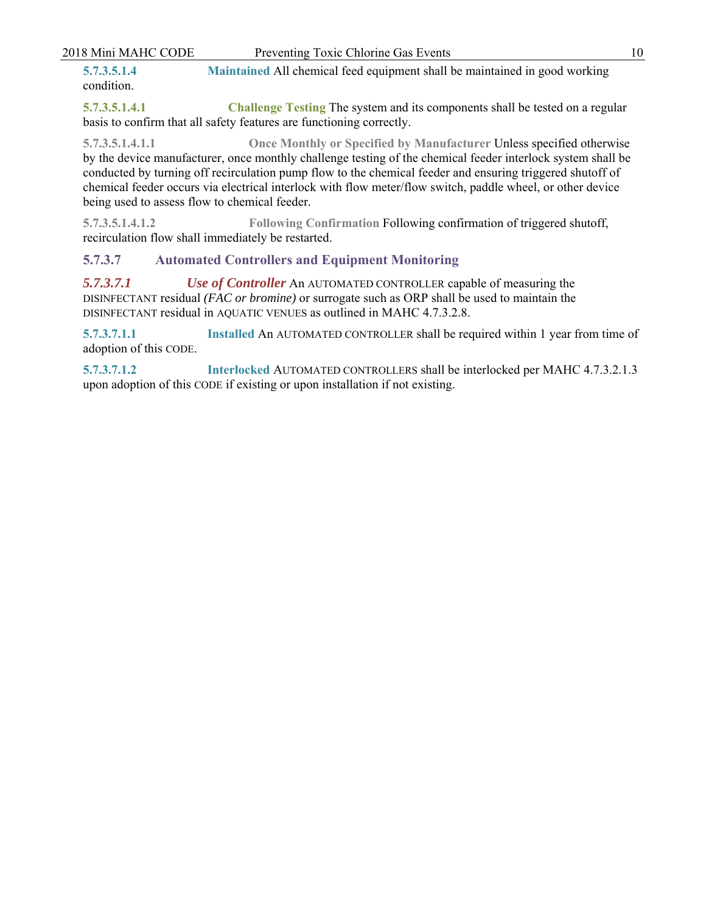| 2018 Mini MAHC CODE       | Preventing Toxic Chlorine Gas Events                                       |  |
|---------------------------|----------------------------------------------------------------------------|--|
| 5.7.3.5.1.4<br>condition. | Maintained All chemical feed equipment shall be maintained in good working |  |

**5.7.3.5.1.4.1 Challenge Testing** The system and its components shall be tested on a regular basis to confirm that all safety features are functioning correctly.

**5.7.3.5.1.4.1.1 Once Monthly or Specified by Manufacturer** Unless specified otherwise by the device manufacturer, once monthly challenge testing of the chemical feeder interlock system shall be conducted by turning off recirculation pump flow to the chemical feeder and ensuring triggered shutoff of chemical feeder occurs via electrical interlock with flow meter/flow switch, paddle wheel, or other device being used to assess flow to chemical feeder.

**5.7.3.5.1.4.1.2 Following Confirmation** Following confirmation of triggered shutoff, recirculation flow shall immediately be restarted.

# **5.7.3.7 Automated Controllers and Equipment Monitoring**

*5.7.3.7.1 Use of Controller* An AUTOMATED CONTROLLER capable of measuring the DISINFECTANT residual *(FAC or bromine)* or surrogate such as ORP shall be used to maintain the DISINFECTANT residual in AQUATIC VENUES as outlined in MAHC 4.7.3.2.8.

**5.7.3.7.1.1 Installed** An AUTOMATED CONTROLLER shall be required within 1 year from time of adoption of this CODE.

**5.7.3.7.1.2 Interlocked** AUTOMATED CONTROLLERS shall be interlocked per MAHC 4.7.3.2.1.3 upon adoption of this CODE if existing or upon installation if not existing.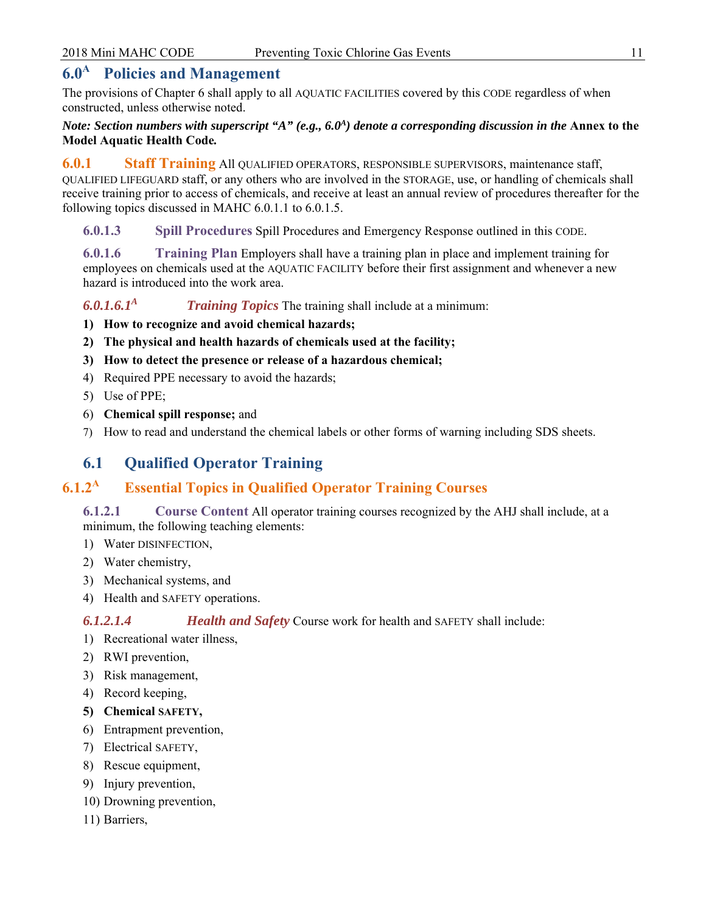# **6.0<sup>A</sup> Policies and Management**

The provisions of Chapter 6 shall apply to all AQUATIC FACILITIES covered by this CODE regardless of when constructed, unless otherwise noted.

#### *Note: Section numbers with superscript* " $A$ " (*e.g., 6.0<sup>4</sup>) denote a corresponding discussion in the* Annex to the **Model Aquatic Health Code***.*

**6.0.1 Staff Training** All QUALIFIED OPERATORS, RESPONSIBLE SUPERVISORS, maintenance staff, QUALIFIED LIFEGUARD staff, or any others who are involved in the STORAGE, use, or handling of chemicals shall receive training prior to access of chemicals, and receive at least an annual review of procedures thereafter for the following topics discussed in MAHC 6.0.1.1 to 6.0.1.5.

**6.0.1.3 Spill Procedures** Spill Procedures and Emergency Response outlined in this CODE.

**6.0.1.6 Training Plan** Employers shall have a training plan in place and implement training for employees on chemicals used at the AQUATIC FACILITY before their first assignment and whenever a new hazard is introduced into the work area.

*6.0.1.6.1A Training Topics* The training shall include at a minimum:

- **1) How to recognize and avoid chemical hazards;**
- **2) The physical and health hazards of chemicals used at the facility;**
- **3) How to detect the presence or release of a hazardous chemical;**
- 4) Required PPE necessary to avoid the hazards;
- 5) Use of PPE;
- 6) **Chemical spill response;** and
- 7) How to read and understand the chemical labels or other forms of warning including SDS sheets.

# **6.1 Qualified Operator Training**

# **6.1.2<sup>A</sup> Essential Topics in Qualified Operator Training Courses**

**6.1.2.1 Course Content** All operator training courses recognized by the AHJ shall include, at a minimum, the following teaching elements:

- 1) Water DISINFECTION,
- 2) Water chemistry,
- 3) Mechanical systems, and
- 4) Health and SAFETY operations.

*6.1.2.1.4 Health and Safety* Course work for health and SAFETY shall include:

- 1) Recreational water illness,
- 2) RWI prevention,
- 3) Risk management,
- 4) Record keeping,
- **5) Chemical SAFETY,**
- 6) Entrapment prevention,
- 7) Electrical SAFETY,
- 8) Rescue equipment,
- 9) Injury prevention,
- 10) Drowning prevention,
- 11) Barriers,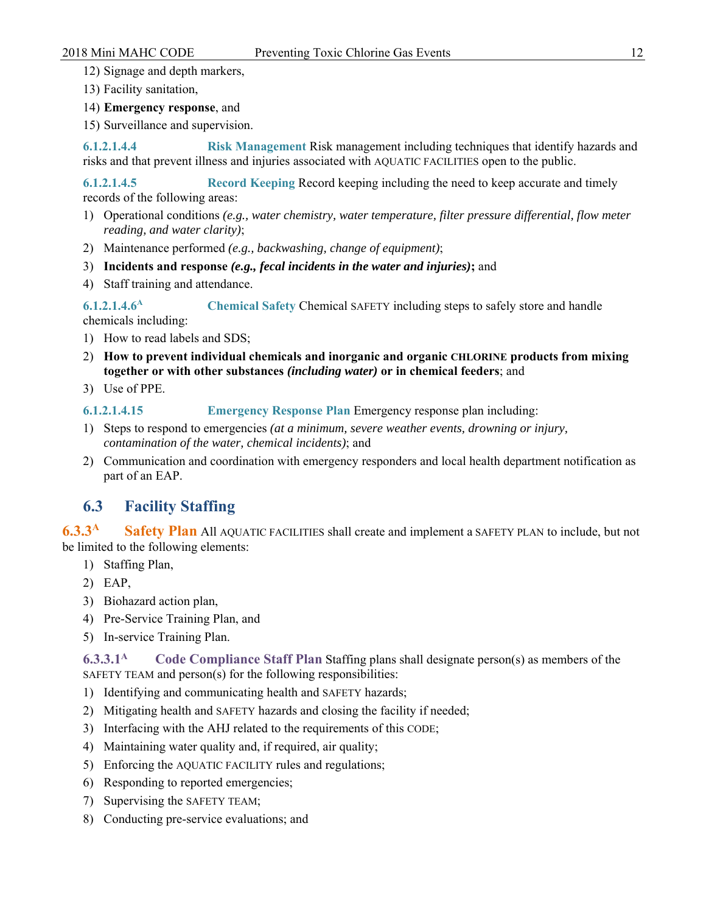12) Signage and depth markers,

- 13) Facility sanitation,
- 14) **Emergency response**, and
- 15) Surveillance and supervision.

**6.1.2.1.4.4 Risk Management** Risk management including techniques that identify hazards and risks and that prevent illness and injuries associated with AQUATIC FACILITIES open to the public.

**6.1.2.1.4.5 Record Keeping** Record keeping including the need to keep accurate and timely records of the following areas:

- 1) Operational conditions *(e.g., water chemistry, water temperature, filter pressure differential, flow meter reading, and water clarity)*;
- 2) Maintenance performed *(e.g., backwashing, change of equipment)*;
- 3) **Incidents and response** *(e.g., fecal incidents in the water and injuries)***;** and
- 4) Staff training and attendance.

**6.1.2.1.4.6A Chemical Safety** Chemical SAFETY including steps to safely store and handle

chemicals including:

- 1) How to read labels and SDS;
- 2) **How to prevent individual chemicals and inorganic and organic CHLORINE products from mixing together or with other substances** *(including water)* **or in chemical feeders**; and
- 3) Use of PPE.

**6.1.2.1.4.15 Emergency Response Plan** Emergency response plan including:

- 1) Steps to respond to emergencies *(at a minimum, severe weather events, drowning or injury, contamination of the water, chemical incidents)*; and
- 2) Communication and coordination with emergency responders and local health department notification as part of an EAP.

# **6.3 Facility Staffing**

**6.3.3<sup>A</sup> Safety Plan** All AQUATIC FACILITIES shall create and implement a SAFETY PLAN to include, but not be limited to the following elements:

- 1) Staffing Plan,
- 2) EAP,
- 3) Biohazard action plan,
- 4) Pre-Service Training Plan, and
- 5) In-service Training Plan.

**6.3.3.1A Code Compliance Staff Plan** Staffing plans shall designate person(s) as members of the SAFETY TEAM and person(s) for the following responsibilities:

- 1) Identifying and communicating health and SAFETY hazards;
- 2) Mitigating health and SAFETY hazards and closing the facility if needed;
- 3) Interfacing with the AHJ related to the requirements of this CODE;
- 4) Maintaining water quality and, if required, air quality;
- 5) Enforcing the AQUATIC FACILITY rules and regulations;
- 6) Responding to reported emergencies;
- 7) Supervising the SAFETY TEAM;
- 8) Conducting pre-service evaluations; and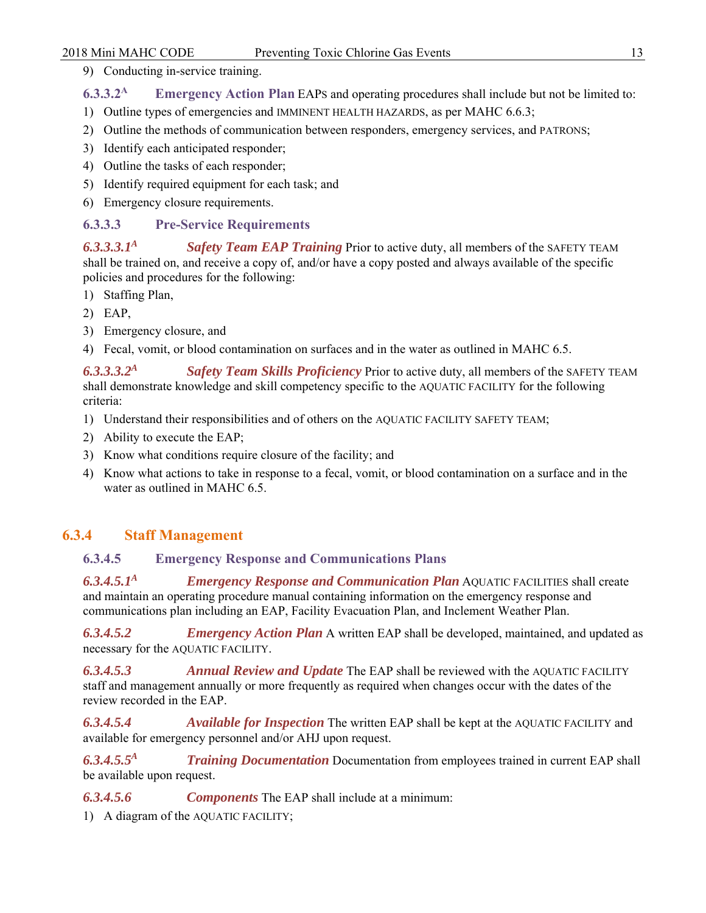9) Conducting in-service training.

**6.3.3.2A Emergency Action Plan** EAPS and operating procedures shall include but not be limited to:

- 1) Outline types of emergencies and IMMINENT HEALTH HAZARDS, as per MAHC 6.6.3;
- 2) Outline the methods of communication between responders, emergency services, and PATRONS;
- 3) Identify each anticipated responder;
- 4) Outline the tasks of each responder;
- 5) Identify required equipment for each task; and
- 6) Emergency closure requirements.

#### **6.3.3.3 Pre-Service Requirements**

*6.3.3.3.1A Safety Team EAP Training* Prior to active duty, all members of the SAFETY TEAM shall be trained on, and receive a copy of, and/or have a copy posted and always available of the specific policies and procedures for the following:

- 1) Staffing Plan,
- 2) EAP,
- 3) Emergency closure, and
- 4) Fecal, vomit, or blood contamination on surfaces and in the water as outlined in MAHC 6.5.

*6.3.3.3.2A Safety Team Skills Proficiency* Prior to active duty, all members of the SAFETY TEAM shall demonstrate knowledge and skill competency specific to the AQUATIC FACILITY for the following criteria:

- 1) Understand their responsibilities and of others on the AQUATIC FACILITY SAFETY TEAM;
- 2) Ability to execute the EAP;
- 3) Know what conditions require closure of the facility; and
- 4) Know what actions to take in response to a fecal, vomit, or blood contamination on a surface and in the water as outlined in MAHC 6.5.

#### **6.3.4 Staff Management**

## **6.3.4.5 Emergency Response and Communications Plans**

*6.3.4.5.1A Emergency Response and Communication Plan* AQUATIC FACILITIES shall create and maintain an operating procedure manual containing information on the emergency response and communications plan including an EAP, Facility Evacuation Plan, and Inclement Weather Plan.

*6.3.4.5.2 Emergency Action Plan* A written EAP shall be developed, maintained, and updated as necessary for the AQUATIC FACILITY.

*6.3.4.5.3 Annual Review and Update* The EAP shall be reviewed with the AQUATIC FACILITY staff and management annually or more frequently as required when changes occur with the dates of the review recorded in the EAP.

*6.3.4.5.4 Available for Inspection* The written EAP shall be kept at the AQUATIC FACILITY and available for emergency personnel and/or AHJ upon request.

*6.3.4.5.5A Training Documentation* Documentation from employees trained in current EAP shall be available upon request.

*6.3.4.5.6 Components* The EAP shall include at a minimum:

1) A diagram of the AQUATIC FACILITY;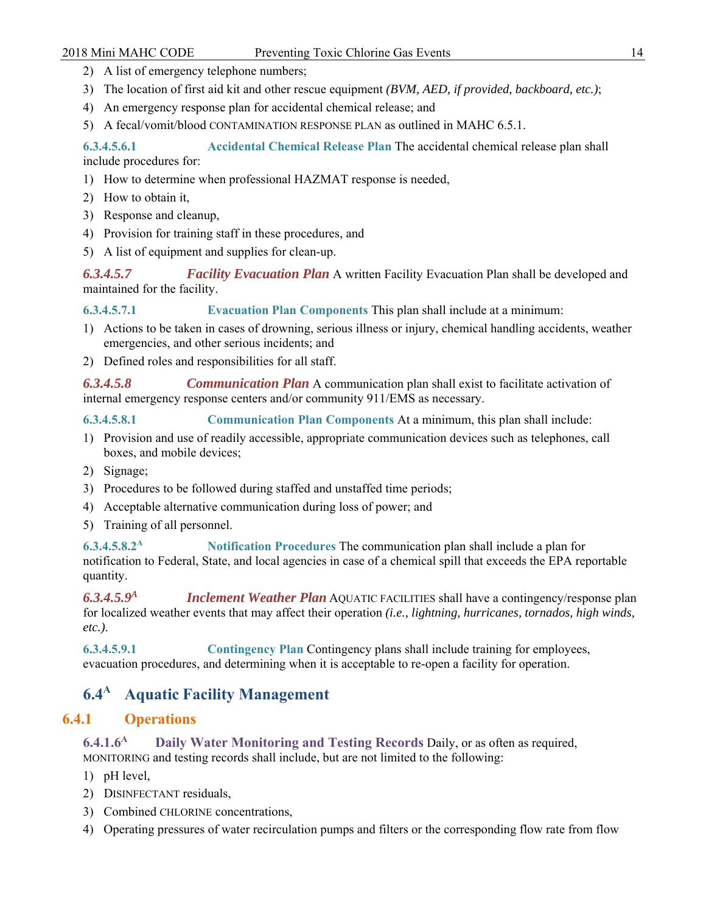- 2) A list of emergency telephone numbers;
- 3) The location of first aid kit and other rescue equipment *(BVM, AED, if provided, backboard, etc.)*;
- 4) An emergency response plan for accidental chemical release; and
- 5) A fecal/vomit/blood CONTAMINATION RESPONSE PLAN as outlined in MAHC 6.5.1.

**6.3.4.5.6.1 Accidental Chemical Release Plan** The accidental chemical release plan shall include procedures for:

- 1) How to determine when professional HAZMAT response is needed,
- 2) How to obtain it,
- 3) Response and cleanup,
- 4) Provision for training staff in these procedures, and
- 5) A list of equipment and supplies for clean-up.

*6.3.4.5.7 Facility Evacuation Plan* A written Facility Evacuation Plan shall be developed and maintained for the facility.

**6.3.4.5.7.1 Evacuation Plan Components** This plan shall include at a minimum:

- 1) Actions to be taken in cases of drowning, serious illness or injury, chemical handling accidents, weather emergencies, and other serious incidents; and
- 2) Defined roles and responsibilities for all staff.

*6.3.4.5.8 Communication Plan* A communication plan shall exist to facilitate activation of internal emergency response centers and/or community 911/EMS as necessary.

**6.3.4.5.8.1 Communication Plan Components** At a minimum, this plan shall include:

- 1) Provision and use of readily accessible, appropriate communication devices such as telephones, call boxes, and mobile devices;
- 2) Signage;
- 3) Procedures to be followed during staffed and unstaffed time periods;
- 4) Acceptable alternative communication during loss of power; and
- 5) Training of all personnel.

**6.3.4.5.8.2A Notification Procedures** The communication plan shall include a plan for notification to Federal, State, and local agencies in case of a chemical spill that exceeds the EPA reportable quantity.

*6.3.4.5.9A Inclement Weather Plan* AQUATIC FACILITIES shall have a contingency/response plan for localized weather events that may affect their operation *(i.e., lightning, hurricanes, tornados, high winds, etc.)*.

**6.3.4.5.9.1 Contingency Plan** Contingency plans shall include training for employees, evacuation procedures, and determining when it is acceptable to re-open a facility for operation.

# **6.4<sup>A</sup> Aquatic Facility Management**

# **6.4.1 Operations**

**6.4.1.6A Daily Water Monitoring and Testing Records** Daily, or as often as required, MONITORING and testing records shall include, but are not limited to the following:

- 1) pH level,
- 2) DISINFECTANT residuals,
- 3) Combined CHLORINE concentrations,
- 4) Operating pressures of water recirculation pumps and filters or the corresponding flow rate from flow